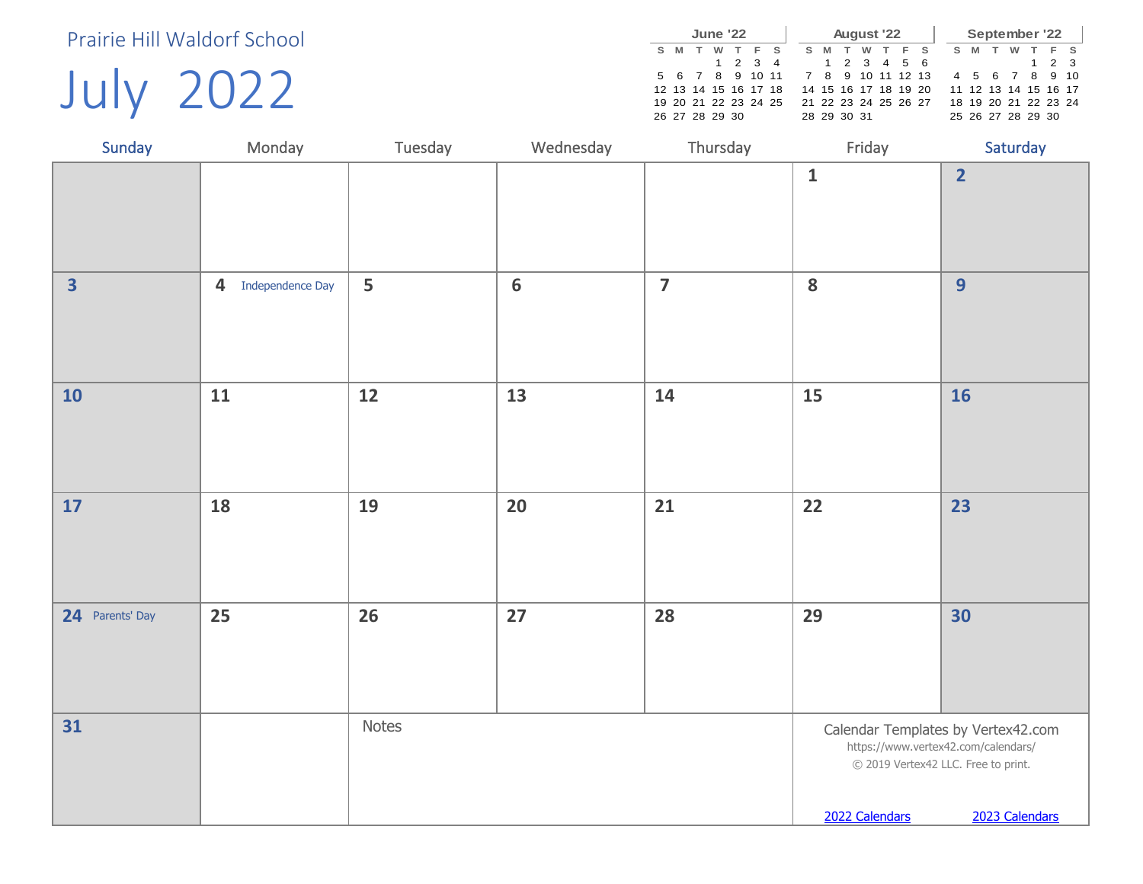July 2022

|   |                 | <b>June '22</b> |         |                      |  |     |   | August '22  |                      |  |    |   |   | September '22        |             |       |
|---|-----------------|-----------------|---------|----------------------|--|-----|---|-------------|----------------------|--|----|---|---|----------------------|-------------|-------|
| s | M               | w               |         | F S                  |  | S M | T | w           | TFS                  |  | S. | M | w |                      |             | $F$ S |
|   |                 |                 | 1 2 3 4 |                      |  |     |   |             | 1 2 3 4 5 6          |  |    |   |   |                      | $1 \t2 \t3$ |       |
|   | 5 6 7 8 9 10 11 |                 |         |                      |  |     |   |             | 7 8 9 10 11 12 13    |  |    |   |   | 4 5 6 7 8 9 10       |             |       |
|   |                 |                 |         | 12 13 14 15 16 17 18 |  |     |   |             | 14 15 16 17 18 19 20 |  |    |   |   | 11 12 13 14 15 16 17 |             |       |
|   |                 |                 |         | 19 20 21 22 23 24 25 |  |     |   |             | 21 22 23 24 25 26 27 |  |    |   |   | 18 19 20 21 22 23 24 |             |       |
|   | 26 27 28 29 30  |                 |         |                      |  |     |   | 28 29 30 31 |                      |  |    |   |   | 25 26 27 28 29 30    |             |       |

| Sunday                  | Monday                             | Tuesday | Wednesday      | Thursday       | Friday                                                                                       | Saturday                                             |
|-------------------------|------------------------------------|---------|----------------|----------------|----------------------------------------------------------------------------------------------|------------------------------------------------------|
|                         |                                    |         |                |                | $\mathbf 1$                                                                                  | $\overline{2}$                                       |
| $\overline{\mathbf{3}}$ | $\overline{4}$<br>Independence Day | 5       | $6\phantom{1}$ | $\overline{7}$ | 8                                                                                            | 9                                                    |
| <b>10</b>               | 11                                 | 12      | 13             | 14             | 15                                                                                           | <b>16</b>                                            |
| 17                      | 18                                 | 19      | 20             | 21             | 22                                                                                           | 23                                                   |
| 24 Parents' Day         | 25                                 | 26      | 27             | 28             | 29                                                                                           | 30                                                   |
| 31                      |                                    | Notes   |                |                | https://www.vertex42.com/calendars/<br>© 2019 Vertex42 LLC. Free to print.<br>2022 Calendars | Calendar Templates by Vertex42.com<br>2023 Calendars |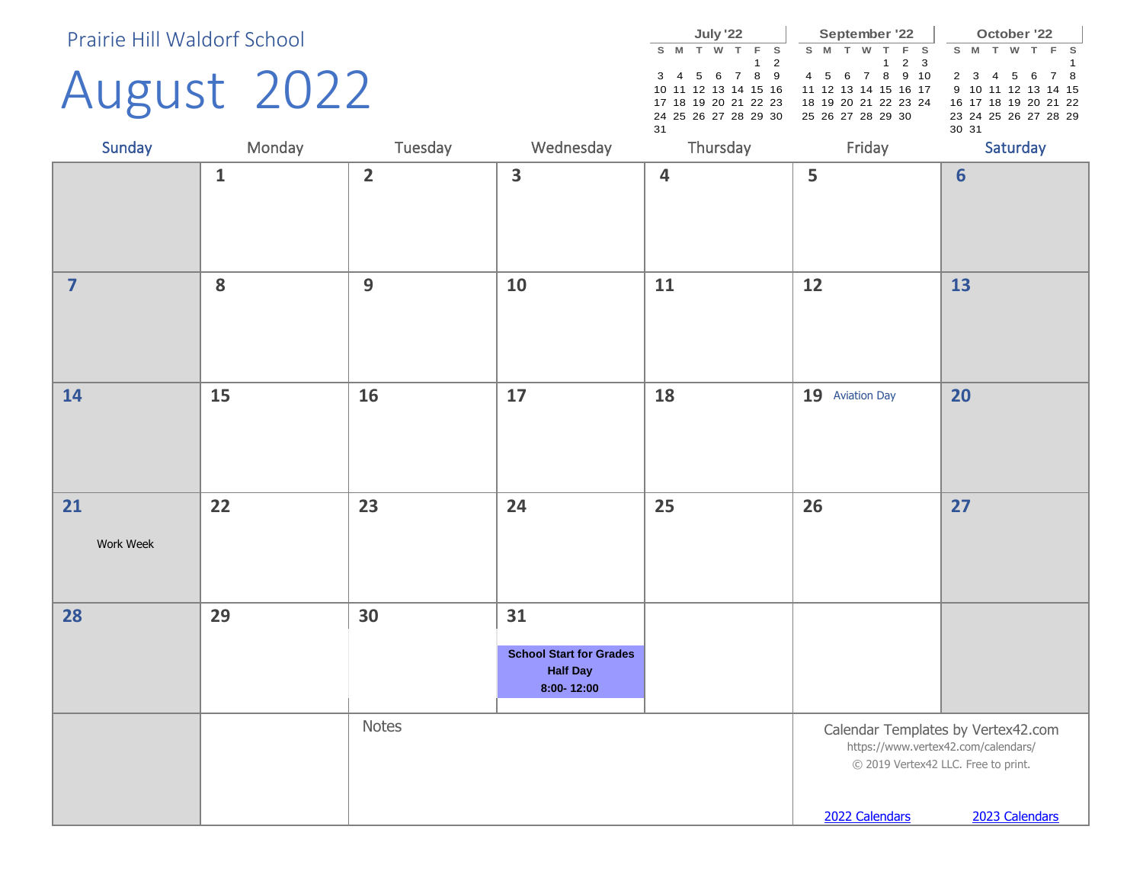## August 2022

|    |                      | July '22 |  |            |   |   | September '22        |       |     |       |   | October '22          |  |       |
|----|----------------------|----------|--|------------|---|---|----------------------|-------|-----|-------|---|----------------------|--|-------|
| s  | M                    | w        |  |            | s | M | w                    | - F - | - s | s     | м | w                    |  | $F$ S |
|    |                      |          |  | $1\quad 2$ |   |   |                      | 1 2 3 |     |       |   |                      |  |       |
|    | 3 4 5 6 7 8 9        |          |  |            |   |   | 4 5 6 7 8 9 10       |       |     |       |   | 2 3 4 5 6 7 8        |  |       |
|    | 10 11 12 13 14 15 16 |          |  |            |   |   | 11 12 13 14 15 16 17 |       |     |       |   | 9 10 11 12 13 14 15  |  |       |
|    | 17 18 19 20 21 22 23 |          |  |            |   |   | 18 19 20 21 22 23 24 |       |     |       |   | 16 17 18 19 20 21 22 |  |       |
|    | 24 25 26 27 28 29 30 |          |  |            |   |   | 25 26 27 28 29 30    |       |     |       |   | 23 24 25 26 27 28 29 |  |       |
| 31 |                      |          |  |            |   |   |                      |       |     | 30 31 |   |                      |  |       |
|    |                      | Thursday |  |            |   |   | Friday               |       |     |       |   | Saturday             |  |       |

| Sunday          | Monday       | Tuesday        | Wednesday                                                             | Thursday                | Friday          | Saturday                                                                                                                           |
|-----------------|--------------|----------------|-----------------------------------------------------------------------|-------------------------|-----------------|------------------------------------------------------------------------------------------------------------------------------------|
|                 | $\mathbf{1}$ | $\overline{2}$ | $\overline{\mathbf{3}}$                                               | $\overline{\mathbf{4}}$ | 5               | $6\phantom{1}$                                                                                                                     |
| $\overline{7}$  | 8            | 9              | 10                                                                    | 11                      | 12              | 13                                                                                                                                 |
| 14              | 15           | 16             | 17                                                                    | 18                      | 19 Aviation Day | 20                                                                                                                                 |
| 21<br>Work Week | 22           | 23             | 24                                                                    | 25                      | 26              | 27                                                                                                                                 |
| 28              | 29           | 30             | 31<br><b>School Start for Grades</b><br><b>Half Day</b><br>8:00-12:00 |                         |                 |                                                                                                                                    |
|                 |              | Notes          |                                                                       |                         | 2022 Calendars  | Calendar Templates by Vertex42.com<br>https://www.vertex42.com/calendars/<br>© 2019 Vertex42 LLC. Free to print.<br>2023 Calendars |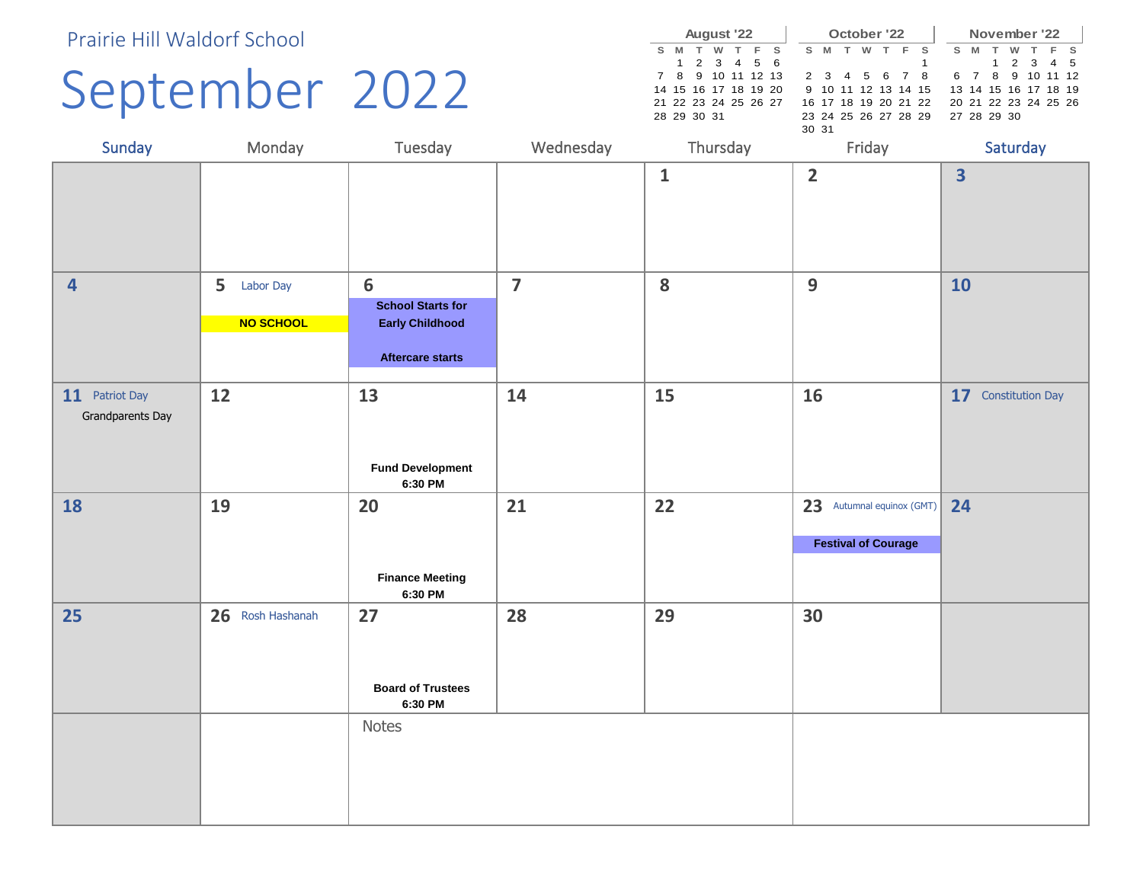### September 2022

|   |                      | <b>August '22</b> |      |     |  |       |                      | October '22 |     |                      |   |   |             |   | November '22         |  |
|---|----------------------|-------------------|------|-----|--|-------|----------------------|-------------|-----|----------------------|---|---|-------------|---|----------------------|--|
| s | M                    | w                 | . т. | F S |  | s     | M                    | w           | - F | - S                  | s | M |             | w |                      |  |
|   |                      | 1 2 3 4 5 6       |      |     |  |       |                      |             |     |                      |   |   |             |   | 1 2 3 4 5            |  |
|   | 7 8 9 10 11 12 13    |                   |      |     |  |       | 2 3 4 5 6 7          |             |     | - 8                  |   |   |             |   | 6 7 8 9 10 11 12     |  |
|   | 14 15 16 17 18 19 20 |                   |      |     |  |       |                      |             |     | 9 10 11 12 13 14 15  |   |   |             |   | 13 14 15 16 17 18 19 |  |
|   | 21 22 23 24 25 26 27 |                   |      |     |  |       |                      |             |     | 16 17 18 19 20 21 22 |   |   |             |   | 20 21 22 23 24 25 26 |  |
|   | 28 29 30 31          |                   |      |     |  |       | 23 24 25 26 27 28 29 |             |     |                      |   |   | 27 28 29 30 |   |                      |  |
|   |                      |                   |      |     |  | 30 31 |                      |             |     |                      |   |   |             |   |                      |  |

| Sunday                             | Monday                      | Tuesday                                                                            | Wednesday      | Thursday     | Friday                                                  | Saturday                |
|------------------------------------|-----------------------------|------------------------------------------------------------------------------------|----------------|--------------|---------------------------------------------------------|-------------------------|
|                                    |                             |                                                                                    |                | $\mathbf{1}$ | $\overline{2}$                                          | $\overline{\mathbf{3}}$ |
| $\overline{\mathbf{4}}$            | 5<br>Labor Day<br>NO SCHOOL | 6<br><b>School Starts for</b><br><b>Early Childhood</b><br><b>Aftercare starts</b> | $\overline{7}$ | 8            | 9                                                       | 10                      |
| 11 Patriot Day<br>Grandparents Day | 12                          | 13<br><b>Fund Development</b><br>6:30 PM                                           | 14             | 15           | 16                                                      | 17 Constitution Day     |
| 18                                 | 19                          | 20<br><b>Finance Meeting</b><br>6:30 PM                                            | 21             | 22           | 23 Autumnal equinox (GMT)<br><b>Festival of Courage</b> | 24                      |
| 25                                 | 26 Rosh Hashanah            | 27<br><b>Board of Trustees</b><br>6:30 PM                                          | 28             | 29           | 30                                                      |                         |
|                                    |                             | Notes                                                                              |                |              |                                                         |                         |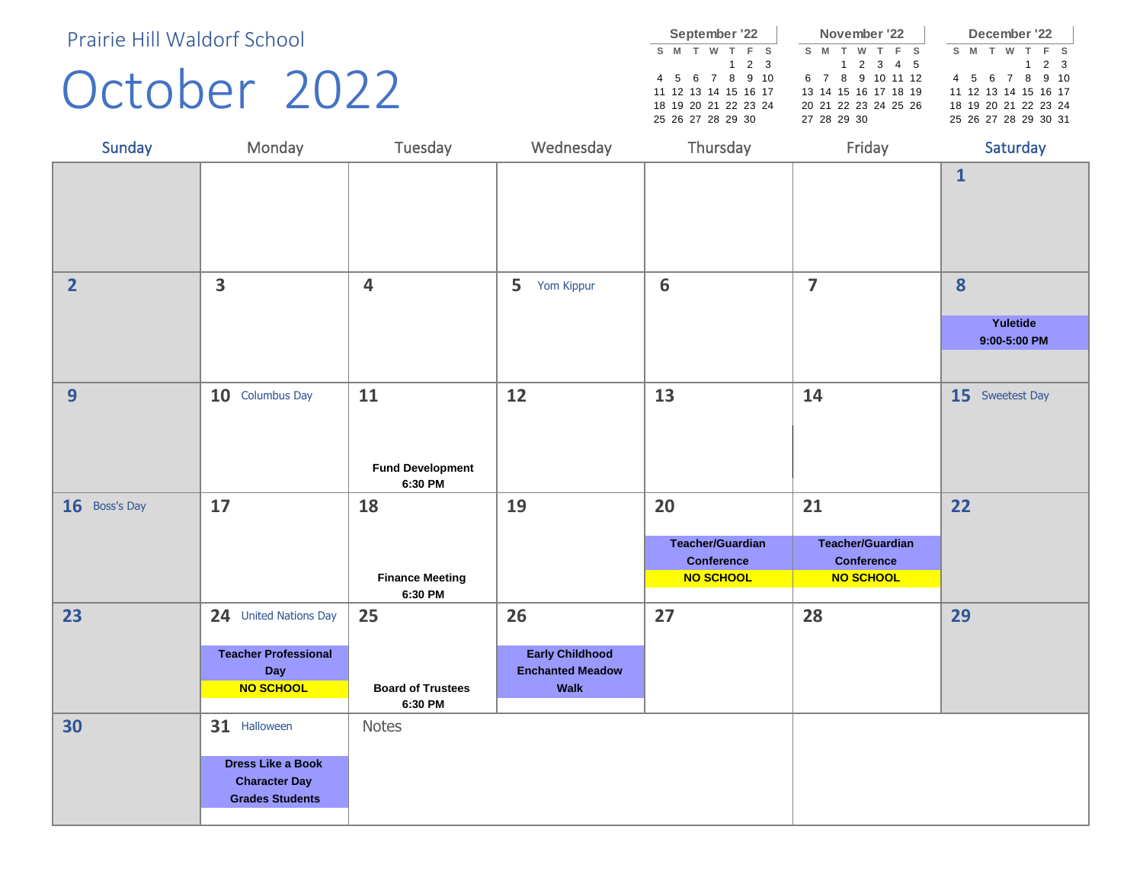#### October 2022

|    | September '22        |   |             |       |  |     | November '22         |           |  |     |   |   |   | December '22         |       |  |
|----|----------------------|---|-------------|-------|--|-----|----------------------|-----------|--|-----|---|---|---|----------------------|-------|--|
| s. | м                    | w |             | $F$ S |  | S M |                      | w         |  | F S | s | M | W |                      | $F$ S |  |
|    |                      |   | $1 \t2 \t3$ |       |  |     |                      | 1 2 3 4 5 |  |     |   |   |   |                      | 1 2 3 |  |
|    | 4 5 6 7 8 9 10       |   |             |       |  |     | 6 7 8 9 10 11 12     |           |  |     |   |   |   | 4 5 6 7 8 9 10       |       |  |
|    | 11 12 13 14 15 16 17 |   |             |       |  |     | 13 14 15 16 17 18 19 |           |  |     |   |   |   | 11 12 13 14 15 16 17 |       |  |
|    | 18 19 20 21 22 23 24 |   |             |       |  |     | 20 21 22 23 24 25 26 |           |  |     |   |   |   | 18 19 20 21 22 23 24 |       |  |
|    | 25 26 27 28 29 30    |   |             |       |  |     | 27 28 29 30          |           |  |     |   |   |   | 25 26 27 28 29 30 31 |       |  |

| Sunday         | Monday                                                                                     | Tuesday                                  | Wednesday                                                        | Thursday                                                  | Friday                                                           | Saturday                 |
|----------------|--------------------------------------------------------------------------------------------|------------------------------------------|------------------------------------------------------------------|-----------------------------------------------------------|------------------------------------------------------------------|--------------------------|
|                |                                                                                            |                                          |                                                                  |                                                           |                                                                  | $\mathbf{1}$             |
| $\overline{2}$ | 3                                                                                          | $\overline{\mathbf{4}}$                  | 5<br>Yom Kippur                                                  | $\boldsymbol{6}$                                          | $\overline{7}$                                                   | 8                        |
|                |                                                                                            |                                          |                                                                  |                                                           |                                                                  | Yuletide<br>9:00-5:00 PM |
|                |                                                                                            |                                          |                                                                  |                                                           |                                                                  |                          |
| 9              | 10 Columbus Day                                                                            | 11<br><b>Fund Development</b><br>6:30 PM | 12                                                               | 13                                                        | 14                                                               | 15 Sweetest Day          |
| 16 Boss's Day  | 17                                                                                         | 18                                       | 19                                                               | 20                                                        | 21                                                               | 22                       |
|                |                                                                                            | <b>Finance Meeting</b><br>6:30 PM        |                                                                  | <b>Teacher/Guardian</b><br><b>Conference</b><br>NO SCHOOL | <b>Teacher/Guardian</b><br><b>Conference</b><br><b>NO SCHOOL</b> |                          |
| 23             | 24 United Nations Day                                                                      | 25                                       | 26                                                               | 27                                                        | 28                                                               | 29                       |
|                | <b>Teacher Professional</b><br>Day<br>NO SCHOOL                                            | <b>Board of Trustees</b><br>6:30 PM      | <b>Early Childhood</b><br><b>Enchanted Meadow</b><br><b>Walk</b> |                                                           |                                                                  |                          |
| 30             | 31 Halloween<br><b>Dress Like a Book</b><br><b>Character Day</b><br><b>Grades Students</b> | <b>Notes</b>                             |                                                                  |                                                           |                                                                  |                          |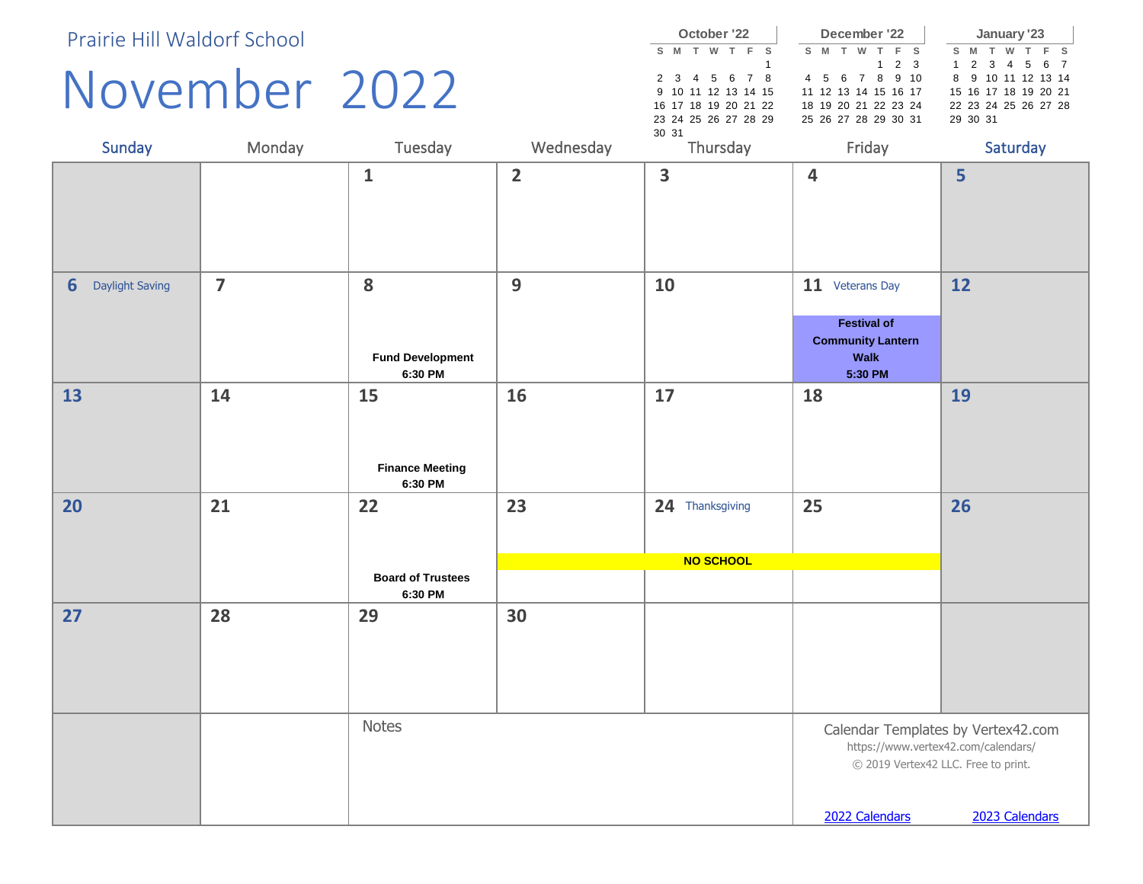#### November 2022

**S M T W T F S** 1 2 3 4 5 6 7 8 9 10 11 12 13 14 15 16 17 18 19 20 21 22 23 24 25 26 27 28 29 30 31 **October '22 S M T W T F S** 1 2 3 4 5 6 7 8 9 10 11 12 13 14 15 16 17 18 19 20 21 22 23 24 25 26 27 28 29 30 31 **December '22 S M T W T F S** 1 2 3 4 5 6 7 8 9 10 11 12 13 14 15 16 17 18 19 20 21 22 23 24 25 26 27 28 29 30 31 **January '23**

| Sunday               | Monday         | Tuesday                                   | Wednesday               | Thursday                     | Friday                                                                               | Saturday                                                                                                                           |
|----------------------|----------------|-------------------------------------------|-------------------------|------------------------------|--------------------------------------------------------------------------------------|------------------------------------------------------------------------------------------------------------------------------------|
|                      |                | $\mathbf{1}$                              | $\overline{\mathbf{2}}$ | 3                            | $\overline{\mathbf{4}}$                                                              | 5                                                                                                                                  |
| Daylight Saving<br>6 | $\overline{7}$ | 8<br><b>Fund Development</b><br>6:30 PM   | 9                       | 10                           | 11 Veterans Day<br><b>Festival of</b><br><b>Community Lantern</b><br>Walk<br>5:30 PM | 12                                                                                                                                 |
| 13                   | 14             | 15<br><b>Finance Meeting</b><br>6:30 PM   | 16                      | 17                           | 18                                                                                   | 19                                                                                                                                 |
| 20                   | 21             | 22<br><b>Board of Trustees</b><br>6:30 PM | 23                      | 24 Thanksgiving<br>NO SCHOOL | 25                                                                                   | 26                                                                                                                                 |
| 27                   | 28             | 29                                        | 30                      |                              |                                                                                      |                                                                                                                                    |
|                      |                | <b>Notes</b>                              |                         |                              | 2022 Calendars                                                                       | Calendar Templates by Vertex42.com<br>https://www.vertex42.com/calendars/<br>© 2019 Vertex42 LLC. Free to print.<br>2023 Calendars |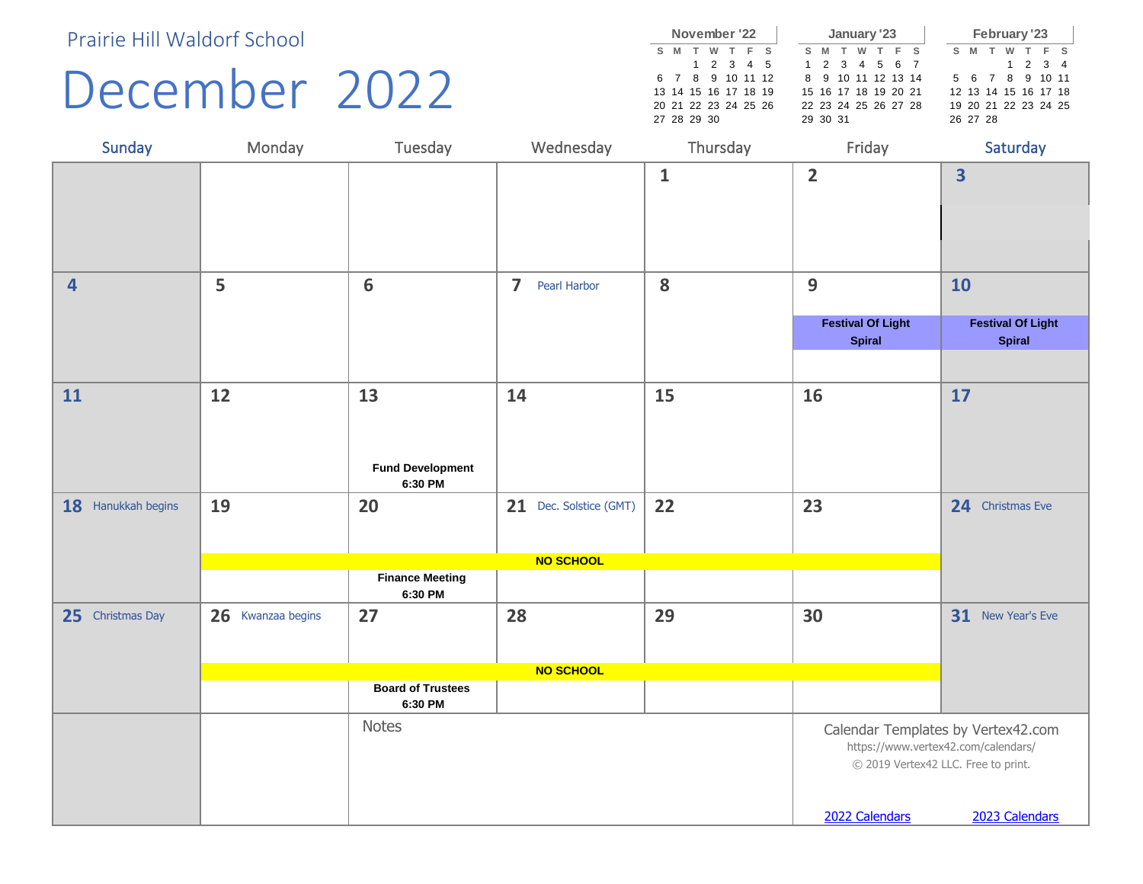#### December 2022

|  |                      |  | November '22 |                  |  |     |          | January '23          |  |                 |          |               | <b>February '23</b>  |  |
|--|----------------------|--|--------------|------------------|--|-----|----------|----------------------|--|-----------------|----------|---------------|----------------------|--|
|  | S M                  |  | T W T F S    |                  |  | S M | T        | W T F S              |  |                 | S M      | $-\mathsf{T}$ | W T F S              |  |
|  |                      |  | 1 2 3 4 5    |                  |  |     |          | 1 2 3 4 5 6 7        |  |                 |          |               | $1 \t2 \t3 \t4$      |  |
|  |                      |  |              | 6 7 8 9 10 11 12 |  |     |          | 8 9 10 11 12 13 14   |  | 5 6 7 8 9 10 11 |          |               |                      |  |
|  | 13 14 15 16 17 18 19 |  |              |                  |  |     |          | 15 16 17 18 19 20 21 |  |                 |          |               | 12 13 14 15 16 17 18 |  |
|  | 20 21 22 23 24 25 26 |  |              |                  |  |     |          | 22 23 24 25 26 27 28 |  |                 |          |               | 19 20 21 22 23 24 25 |  |
|  | 27 28 29 30          |  |              |                  |  |     | 29 30 31 |                      |  |                 | 26 27 28 |               |                      |  |
|  |                      |  |              |                  |  |     |          |                      |  |                 |          |               |                      |  |

| Sunday             | Monday            | Tuesday                                  | Wednesday                                      | Thursday     | Friday                                                                                       | Saturday                                             |
|--------------------|-------------------|------------------------------------------|------------------------------------------------|--------------|----------------------------------------------------------------------------------------------|------------------------------------------------------|
|                    |                   |                                          |                                                | $\mathbf{1}$ | $\overline{2}$                                                                               | $\overline{\mathbf{3}}$                              |
| $\overline{4}$     | 5                 | 6                                        | $\overline{\mathbf{z}}$<br><b>Pearl Harbor</b> | 8            | 9                                                                                            | 10                                                   |
|                    |                   |                                          |                                                |              | <b>Festival Of Light</b><br><b>Spiral</b>                                                    | <b>Festival Of Light</b><br><b>Spiral</b>            |
| 11                 | 12                | 13<br><b>Fund Development</b><br>6:30 PM | 14                                             | 15           | 16                                                                                           | 17                                                   |
| 18 Hanukkah begins | 19                | 20                                       | 21 Dec. Solstice (GMT)                         | 22           | 23                                                                                           | 24 Christmas Eve                                     |
|                    |                   |                                          | NO SCHOOL                                      |              |                                                                                              |                                                      |
|                    |                   | <b>Finance Meeting</b><br>6:30 PM        |                                                |              |                                                                                              |                                                      |
| 25 Christmas Day   | 26 Kwanzaa begins | 27                                       | 28                                             | 29           | 30                                                                                           | 31 New Year's Eve                                    |
|                    |                   | <b>Board of Trustees</b>                 | NO SCHOOL                                      |              |                                                                                              |                                                      |
|                    |                   | 6:30 PM                                  |                                                |              |                                                                                              |                                                      |
|                    |                   | <b>Notes</b>                             |                                                |              | https://www.vertex42.com/calendars/<br>© 2019 Vertex42 LLC. Free to print.<br>2022 Calendars | Calendar Templates by Vertex42.com<br>2023 Calendars |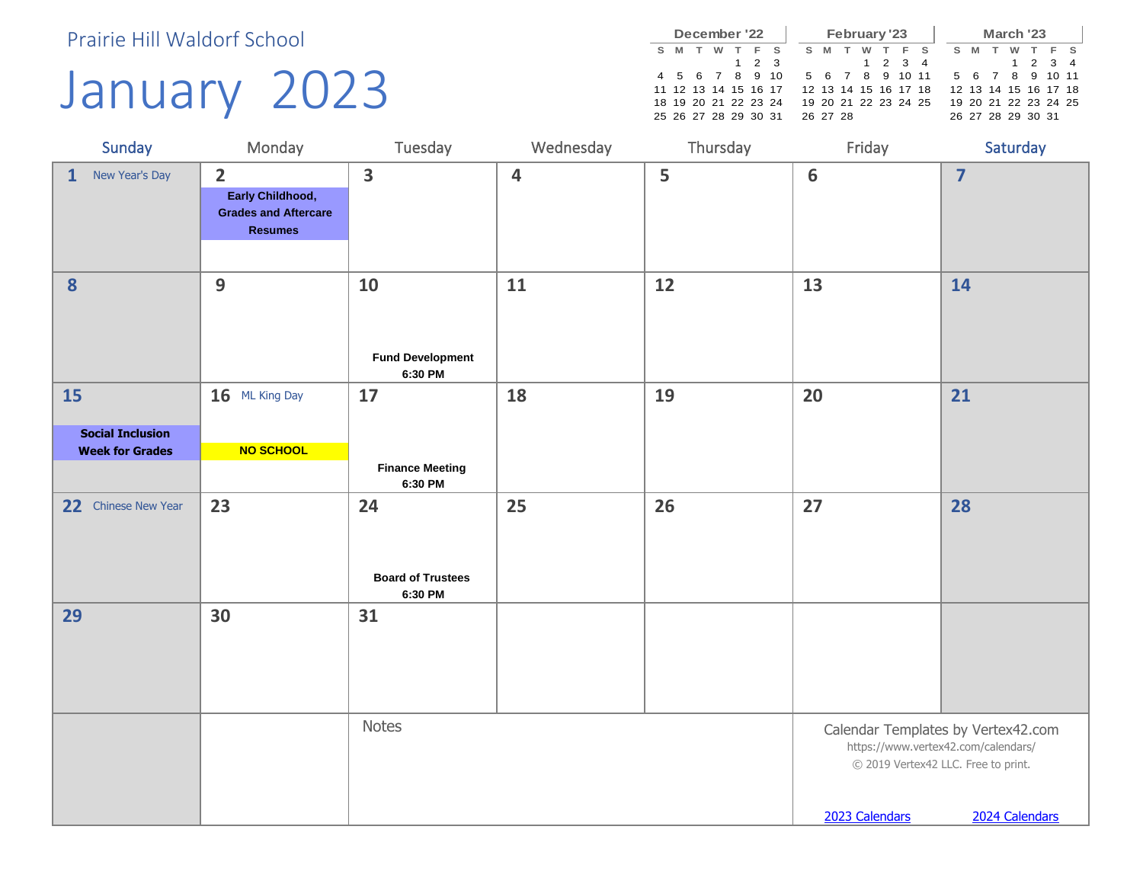# January 2023

|   |     |  | December '22         |             |       |   |          | February '23         |         |     |  |   |   | March '23            |                 |       |  |
|---|-----|--|----------------------|-------------|-------|---|----------|----------------------|---------|-----|--|---|---|----------------------|-----------------|-------|--|
| s | - M |  |                      |             | $F$ S | s | M        | w                    |         | F S |  | s | M | w                    |                 | T F S |  |
|   |     |  |                      | $1 \t2 \t3$ |       |   |          |                      | 1 2 3 4 |     |  |   |   |                      | $1 \t2 \t3 \t4$ |       |  |
|   |     |  | 4 5 6 7 8 9 10       |             |       |   |          | 5 6 7 8 9 10 11      |         |     |  |   |   | 5 6 7 8 9 10 11      |                 |       |  |
|   |     |  | 11 12 13 14 15 16 17 |             |       |   |          | 12 13 14 15 16 17 18 |         |     |  |   |   | 12 13 14 15 16 17 18 |                 |       |  |
|   |     |  | 18 19 20 21 22 23 24 |             |       |   |          | 19 20 21 22 23 24 25 |         |     |  |   |   | 19 20 21 22 23 24 25 |                 |       |  |
|   |     |  | 25 26 27 28 29 30 31 |             |       |   | 26 27 28 |                      |         |     |  |   |   | 26 27 28 29 30 31    |                 |       |  |

| Sunday                                            | Monday                                                                              | Tuesday                                   | Wednesday | Thursday | Friday                                                                                       | Saturday                                             |
|---------------------------------------------------|-------------------------------------------------------------------------------------|-------------------------------------------|-----------|----------|----------------------------------------------------------------------------------------------|------------------------------------------------------|
| New Year's Day<br>$\mathbf{1}$                    | $\overline{2}$<br>Early Childhood,<br><b>Grades and Aftercare</b><br><b>Resumes</b> | $\overline{\mathbf{3}}$                   | 4         | 5        | $6\phantom{1}6$                                                                              | $\overline{\mathbf{z}}$                              |
| 8                                                 | 9                                                                                   | 10<br><b>Fund Development</b><br>6:30 PM  | 11        | 12       | 13                                                                                           | 14                                                   |
| <b>15</b>                                         | 16 ML King Day                                                                      | 17                                        | 18        | 19       | 20                                                                                           | 21                                                   |
| <b>Social Inclusion</b><br><b>Week for Grades</b> | NO SCHOOL                                                                           |                                           |           |          |                                                                                              |                                                      |
|                                                   |                                                                                     | <b>Finance Meeting</b><br>6:30 PM         |           |          |                                                                                              |                                                      |
| Chinese New Year<br>22                            | 23                                                                                  | 24<br><b>Board of Trustees</b><br>6:30 PM | 25        | 26       | 27                                                                                           | 28                                                   |
| 29                                                | 30                                                                                  | 31                                        |           |          |                                                                                              |                                                      |
|                                                   |                                                                                     | <b>Notes</b>                              |           |          | https://www.vertex42.com/calendars/<br>© 2019 Vertex42 LLC. Free to print.<br>2023 Calendars | Calendar Templates by Vertex42.com<br>2024 Calendars |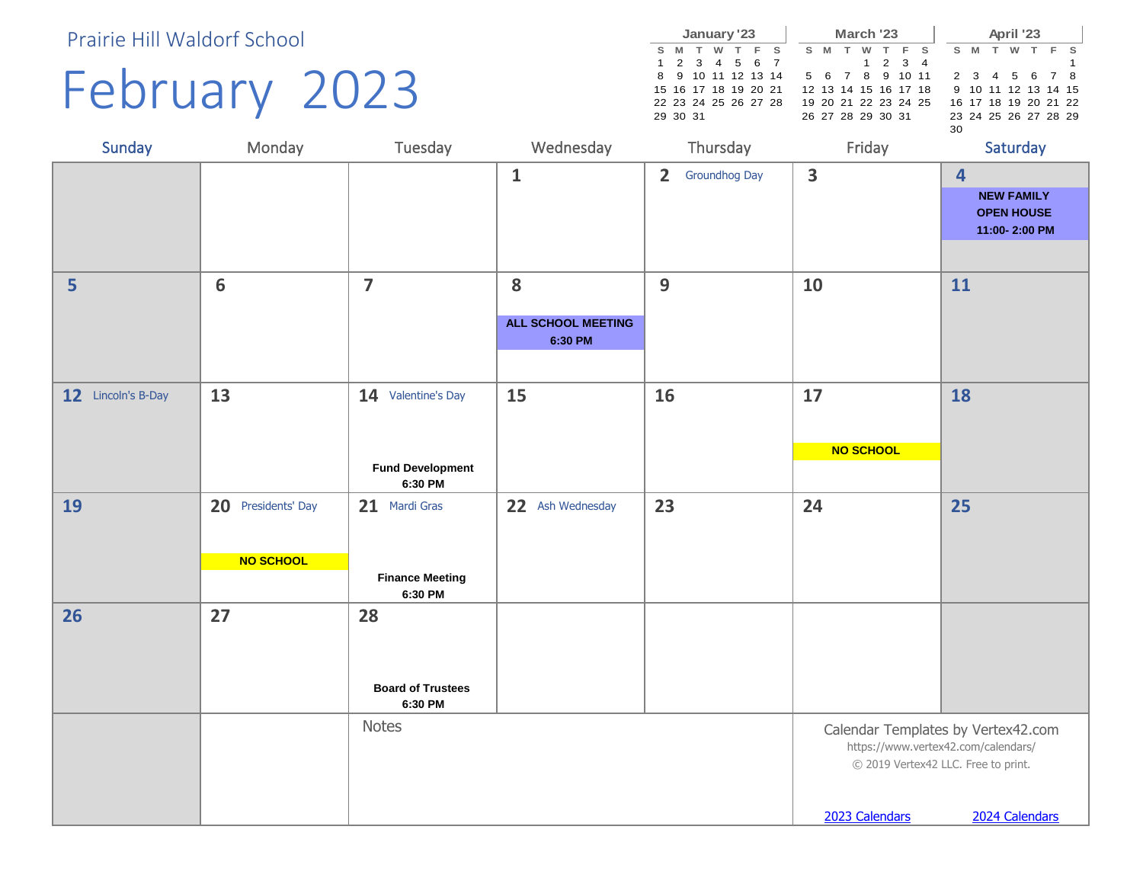# February 2023

|  |                      |          | January '23 |                    |    |          |   | March '23            |         |  |    |       | April '23 |      |                      |  |
|--|----------------------|----------|-------------|--------------------|----|----------|---|----------------------|---------|--|----|-------|-----------|------|----------------------|--|
|  | S M T                | <b>W</b> | T F S       |                    | s. | <b>M</b> | T | w                    | T F S   |  |    | $S$ M | w         | . т. | F S                  |  |
|  | 1 2 3 4 5 6 7        |          |             |                    |    |          |   |                      | 1 2 3 4 |  |    |       |           |      |                      |  |
|  |                      |          |             | 8 9 10 11 12 13 14 |    |          |   | 5 6 7 8 9 10 11      |         |  |    |       |           |      | 2 3 4 5 6 7 8        |  |
|  | 15 16 17 18 19 20 21 |          |             |                    |    |          |   | 12 13 14 15 16 17 18 |         |  |    |       |           |      | 9 10 11 12 13 14 15  |  |
|  | 22 23 24 25 26 27 28 |          |             |                    |    |          |   | 19 20 21 22 23 24 25 |         |  |    |       |           |      | 16 17 18 19 20 21 22 |  |
|  | 29 30 31             |          |             |                    |    |          |   | 26 27 28 29 30 31    |         |  |    |       |           |      | 23 24 25 26 27 28 29 |  |
|  |                      |          |             |                    |    |          |   |                      |         |  | 30 |       |           |      |                      |  |

| Sunday             | Monday                          | Tuesday                                                  | Wednesday                                 | Thursday                        | Friday                                                | Saturday                                                                                    |
|--------------------|---------------------------------|----------------------------------------------------------|-------------------------------------------|---------------------------------|-------------------------------------------------------|---------------------------------------------------------------------------------------------|
|                    |                                 |                                                          | $\mathbf{1}$                              | $\overline{2}$<br>Groundhog Day | $\overline{\mathbf{3}}$                               | $\overline{\mathbf{4}}$<br><b>NEW FAMILY</b><br><b>OPEN HOUSE</b><br>11:00-2:00 PM          |
| 5                  | $6\phantom{1}6$                 | $\overline{\mathbf{z}}$                                  | 8<br><b>ALL SCHOOL MEETING</b><br>6:30 PM | 9                               | 10                                                    | 11                                                                                          |
| 12 Lincoln's B-Day | 13                              | 14 Valentine's Day<br><b>Fund Development</b><br>6:30 PM | 15                                        | 16                              | 17<br>NO SCHOOL                                       | 18                                                                                          |
| 19                 | 20 Presidents' Day<br>NO SCHOOL | 21 Mardi Gras<br><b>Finance Meeting</b><br>6:30 PM       | 22<br>Ash Wednesday                       | 23                              | 24                                                    | 25                                                                                          |
| 26                 | 27                              | 28<br><b>Board of Trustees</b><br>6:30 PM                |                                           |                                 |                                                       |                                                                                             |
|                    |                                 | <b>Notes</b>                                             |                                           |                                 | © 2019 Vertex42 LLC. Free to print.<br>2023 Calendars | Calendar Templates by Vertex42.com<br>https://www.vertex42.com/calendars/<br>2024 Calendars |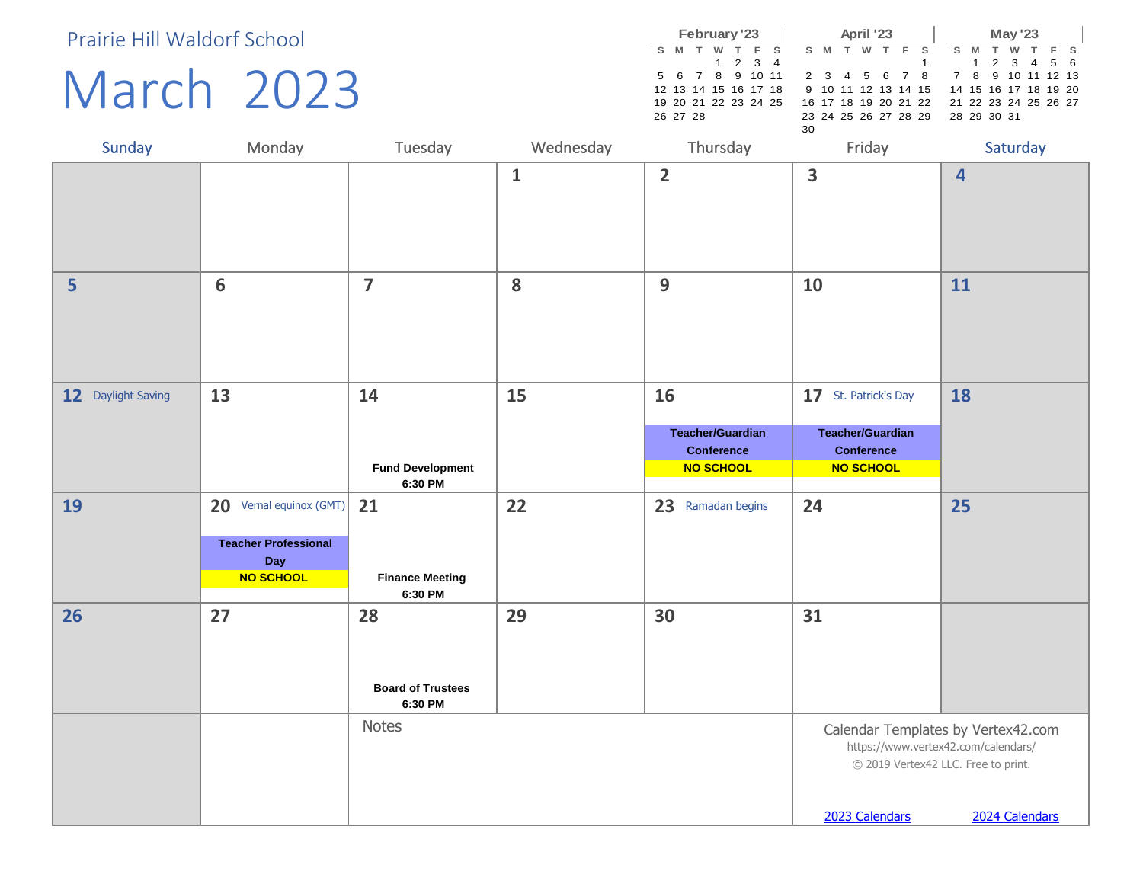### March 2023

|  |          | February '23 |                      |                      |    |       | April '23 |       |                                           |     |        | <b>May '23</b> |  |  |
|--|----------|--------------|----------------------|----------------------|----|-------|-----------|-------|-------------------------------------------|-----|--------|----------------|--|--|
|  | S M T    | w            | T F S                |                      |    | S M T | <b>W</b>  | T F S |                                           | S M | $\top$ | W T F S        |  |  |
|  |          |              | $1 \t2 \t3 \t4$      |                      |    |       |           |       |                                           |     |        | 1 2 3 4 5 6    |  |  |
|  |          |              | 5 6 7 8 9 10 11      |                      |    |       |           |       | 2 3 4 5 6 7 8 7 8 9 10 11 12 13           |     |        |                |  |  |
|  |          |              | 12 13 14 15 16 17 18 |                      |    |       |           |       | 9 10 11 12 13 14 15 14 15 16 17 18 19 20  |     |        |                |  |  |
|  |          |              |                      | 19 20 21 22 23 24 25 |    |       |           |       | 16 17 18 19 20 21 22 21 22 23 24 25 26 27 |     |        |                |  |  |
|  | 26 27 28 |              |                      |                      |    |       |           |       | 23 24 25 26 27 28 29 28 29 30 31          |     |        |                |  |  |
|  |          |              |                      |                      | 30 |       |           |       |                                           |     |        |                |  |  |

| Sunday             | Monday                                                                            | Tuesday                                   | Wednesday    | Thursday                                                               | Friday                                                                                   | Saturday                                                                                    |
|--------------------|-----------------------------------------------------------------------------------|-------------------------------------------|--------------|------------------------------------------------------------------------|------------------------------------------------------------------------------------------|---------------------------------------------------------------------------------------------|
|                    |                                                                                   |                                           | $\mathbf{1}$ | $\overline{2}$                                                         | $\overline{\mathbf{3}}$                                                                  | $\overline{\mathbf{4}}$                                                                     |
| 5                  | $6\phantom{1}6$                                                                   | $\overline{7}$                            | 8            | 9                                                                      | 10                                                                                       | 11                                                                                          |
| 12 Daylight Saving | 13                                                                                | 14<br><b>Fund Development</b><br>6:30 PM  | 15           | 16<br><b>Teacher/Guardian</b><br><b>Conference</b><br><b>NO SCHOOL</b> | 17 St. Patrick's Day<br><b>Teacher/Guardian</b><br><b>Conference</b><br><b>NO SCHOOL</b> | 18                                                                                          |
| 19                 | 20 Vernal equinox (GMT)<br><b>Teacher Professional</b><br>Day<br><b>NO SCHOOL</b> | 21<br><b>Finance Meeting</b><br>6:30 PM   | 22           | 23 Ramadan begins                                                      | 24                                                                                       | 25                                                                                          |
| 26                 | 27                                                                                | 28<br><b>Board of Trustees</b><br>6:30 PM | 29           | 30                                                                     | 31                                                                                       |                                                                                             |
|                    |                                                                                   | Notes                                     |              |                                                                        | https://www.vertex42.com/calendars/<br>2023 Calendars                                    | Calendar Templates by Vertex42.com<br>© 2019 Vertex42 LLC. Free to print.<br>2024 Calendars |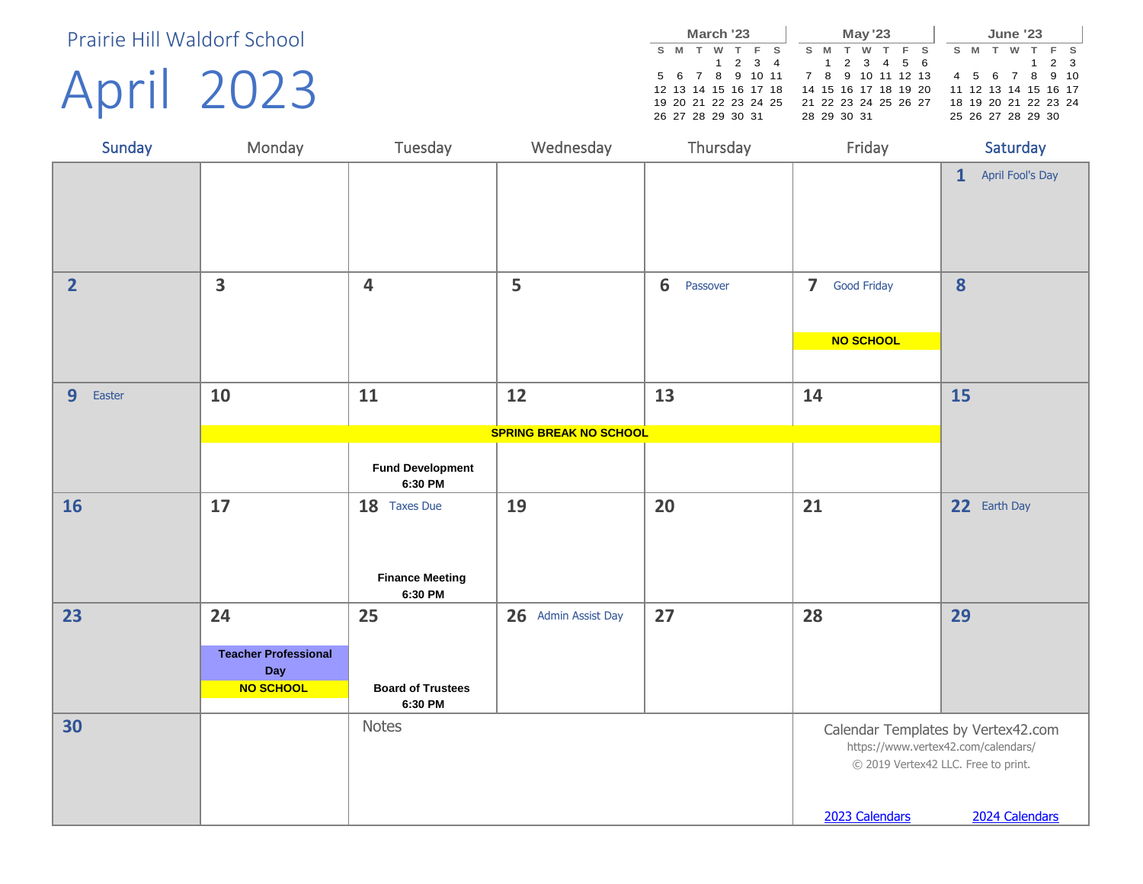April 2023

|   |                      | March '23 |   |         |                                   |  |     |             | <b>May '23</b>       |     |  |     |   | <b>June '23</b>      |       |  |
|---|----------------------|-----------|---|---------|-----------------------------------|--|-----|-------------|----------------------|-----|--|-----|---|----------------------|-------|--|
| s | M                    | W.        | T | F S     |                                   |  | S M | <b>T</b>    | <b>W</b>             | F S |  | S M | w |                      | F S   |  |
|   |                      |           |   | 1 2 3 4 |                                   |  |     |             | 1 2 3 4 5 6          |     |  |     |   |                      | 1 2 3 |  |
|   |                      |           |   |         | 5 6 7 8 9 10 11 7 8 9 10 11 12 13 |  |     |             |                      |     |  |     |   | 4 5 6 7 8 9 10       |       |  |
|   | 12 13 14 15 16 17 18 |           |   |         |                                   |  |     |             | 14 15 16 17 18 19 20 |     |  |     |   | 11 12 13 14 15 16 17 |       |  |
|   | 19 20 21 22 23 24 25 |           |   |         |                                   |  |     |             | 21 22 23 24 25 26 27 |     |  |     |   | 18 19 20 21 22 23 24 |       |  |
|   | 26 27 28 29 30 31    |           |   |         |                                   |  |     | 28 29 30 31 |                      |     |  |     |   | 25 26 27 28 29 30    |       |  |

| Sunday                   | Monday                      | Tuesday                            | Wednesday                     | Thursday      | Friday                              | Saturday                            |
|--------------------------|-----------------------------|------------------------------------|-------------------------------|---------------|-------------------------------------|-------------------------------------|
|                          |                             |                                    |                               |               |                                     | April Fool's Day<br>$\mathbf{1}$    |
|                          |                             |                                    |                               |               |                                     |                                     |
| $\overline{2}$           | $\overline{\mathbf{3}}$     | $\overline{\mathbf{4}}$            | 5                             | 6<br>Passover | 7 Good Friday                       | $\boldsymbol{8}$                    |
|                          |                             |                                    |                               |               |                                     |                                     |
|                          |                             |                                    |                               |               | <b>NO SCHOOL</b>                    |                                     |
|                          |                             |                                    |                               |               |                                     |                                     |
| 9 <sup>°</sup><br>Easter | 10                          | 11                                 | 12                            | 13            | 14                                  | 15                                  |
|                          |                             |                                    | <b>SPRING BREAK NO SCHOOL</b> |               |                                     |                                     |
|                          |                             |                                    |                               |               |                                     |                                     |
|                          |                             | <b>Fund Development</b><br>6:30 PM |                               |               |                                     |                                     |
| <b>16</b>                | 17                          | 18 Taxes Due                       | 19                            | 20            | 21                                  | 22 Earth Day                        |
|                          |                             |                                    |                               |               |                                     |                                     |
|                          |                             | <b>Finance Meeting</b>             |                               |               |                                     |                                     |
|                          |                             | 6:30 PM                            |                               |               |                                     |                                     |
| 23                       | 24                          | 25                                 | 26 Admin Assist Day           | 27            | 28                                  | 29                                  |
|                          | <b>Teacher Professional</b> |                                    |                               |               |                                     |                                     |
|                          | Day<br>NO SCHOOL            | <b>Board of Trustees</b>           |                               |               |                                     |                                     |
|                          |                             | 6:30 PM                            |                               |               |                                     |                                     |
| 30                       |                             | <b>Notes</b>                       |                               |               |                                     | Calendar Templates by Vertex42.com  |
|                          |                             |                                    |                               |               | https://www.vertex42.com/calendars/ | © 2019 Vertex42 LLC. Free to print. |
|                          |                             |                                    |                               |               |                                     |                                     |
|                          |                             |                                    |                               |               | 2023 Calendars                      | 2024 Calendars                      |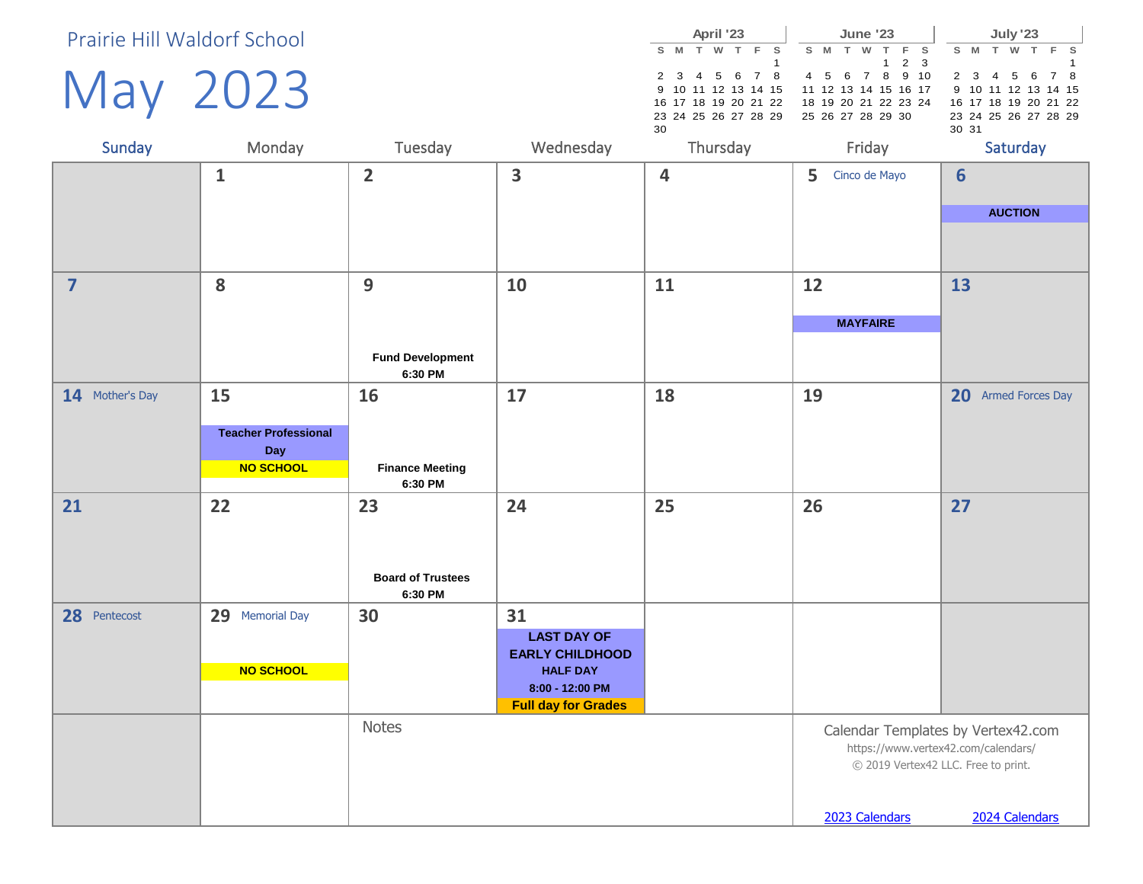May 2023

|    |  | April '23 |                                           |  |  | <b>June '23</b> |                   |                                          |       |               | <b>July '23</b>      |  |  |
|----|--|-----------|-------------------------------------------|--|--|-----------------|-------------------|------------------------------------------|-------|---------------|----------------------|--|--|
|    |  |           | SMTWTFS SMTWTFS                           |  |  |                 |                   |                                          |       |               | S M T W T F S        |  |  |
|    |  |           |                                           |  |  |                 | $1\quad 2\quad 3$ |                                          |       |               |                      |  |  |
|    |  |           | 2 3 4 5 6 7 8 4 5 6 7 8 9 10              |  |  |                 |                   |                                          |       |               | 2 3 4 5 6 7 8        |  |  |
|    |  |           |                                           |  |  |                 |                   | 9 10 11 12 13 14 15 11 12 13 14 15 16 17 |       |               | 9 10 11 12 13 14 15  |  |  |
|    |  |           | 16 17 18 19 20 21 22 18 19 20 21 22 23 24 |  |  |                 |                   |                                          |       |               | 16 17 18 19 20 21 22 |  |  |
|    |  |           | 23 24 25 26 27 28 29 25 26 27 28 29 30    |  |  |                 |                   |                                          |       |               | 23 24 25 26 27 28 29 |  |  |
| 30 |  |           |                                           |  |  |                 |                   |                                          | 30 31 |               |                      |  |  |
|    |  |           |                                           |  |  |                 |                   |                                          |       | $\sim$ $\sim$ |                      |  |  |

| Sunday                  | Monday                      | Tuesday                            | Wednesday                                 | Thursday | Friday             | Saturday                                                                   |
|-------------------------|-----------------------------|------------------------------------|-------------------------------------------|----------|--------------------|----------------------------------------------------------------------------|
|                         | $\mathbf{1}$                | $\overline{2}$                     | $\overline{\mathbf{3}}$                   | 4        | 5<br>Cinco de Mayo | $6\phantom{1}6$                                                            |
|                         |                             |                                    |                                           |          |                    | <b>AUCTION</b>                                                             |
|                         |                             |                                    |                                           |          |                    |                                                                            |
| $\overline{\mathbf{z}}$ | 8                           | 9                                  | 10                                        | 11       | 12                 | 13                                                                         |
|                         |                             |                                    |                                           |          | <b>MAYFAIRE</b>    |                                                                            |
|                         |                             | <b>Fund Development</b><br>6:30 PM |                                           |          |                    |                                                                            |
| 14 Mother's Day         | 15                          | 16                                 | 17                                        | 18       | 19                 | 20 Armed Forces Day                                                        |
|                         | <b>Teacher Professional</b> |                                    |                                           |          |                    |                                                                            |
|                         | Day                         |                                    |                                           |          |                    |                                                                            |
|                         | NO SCHOOL                   | <b>Finance Meeting</b>             |                                           |          |                    |                                                                            |
|                         |                             | 6:30 PM                            |                                           |          |                    | 27                                                                         |
| 21                      | 22                          | 23                                 | 24                                        | 25       | 26                 |                                                                            |
|                         |                             |                                    |                                           |          |                    |                                                                            |
|                         |                             | <b>Board of Trustees</b>           |                                           |          |                    |                                                                            |
|                         |                             | 6:30 PM                            |                                           |          |                    |                                                                            |
| 28 Pentecost            | 29 Memorial Day             | 30                                 | 31                                        |          |                    |                                                                            |
|                         |                             |                                    | <b>LAST DAY OF</b>                        |          |                    |                                                                            |
|                         | NO SCHOOL                   |                                    | <b>EARLY CHILDHOOD</b><br><b>HALF DAY</b> |          |                    |                                                                            |
|                         |                             |                                    | 8:00 - 12:00 PM                           |          |                    |                                                                            |
|                         |                             |                                    | <b>Full day for Grades</b>                |          |                    |                                                                            |
|                         |                             | <b>Notes</b>                       |                                           |          |                    | Calendar Templates by Vertex42.com                                         |
|                         |                             |                                    |                                           |          |                    | https://www.vertex42.com/calendars/<br>© 2019 Vertex42 LLC. Free to print. |
|                         |                             |                                    |                                           |          | 2023 Calendars     | 2024 Calendars                                                             |